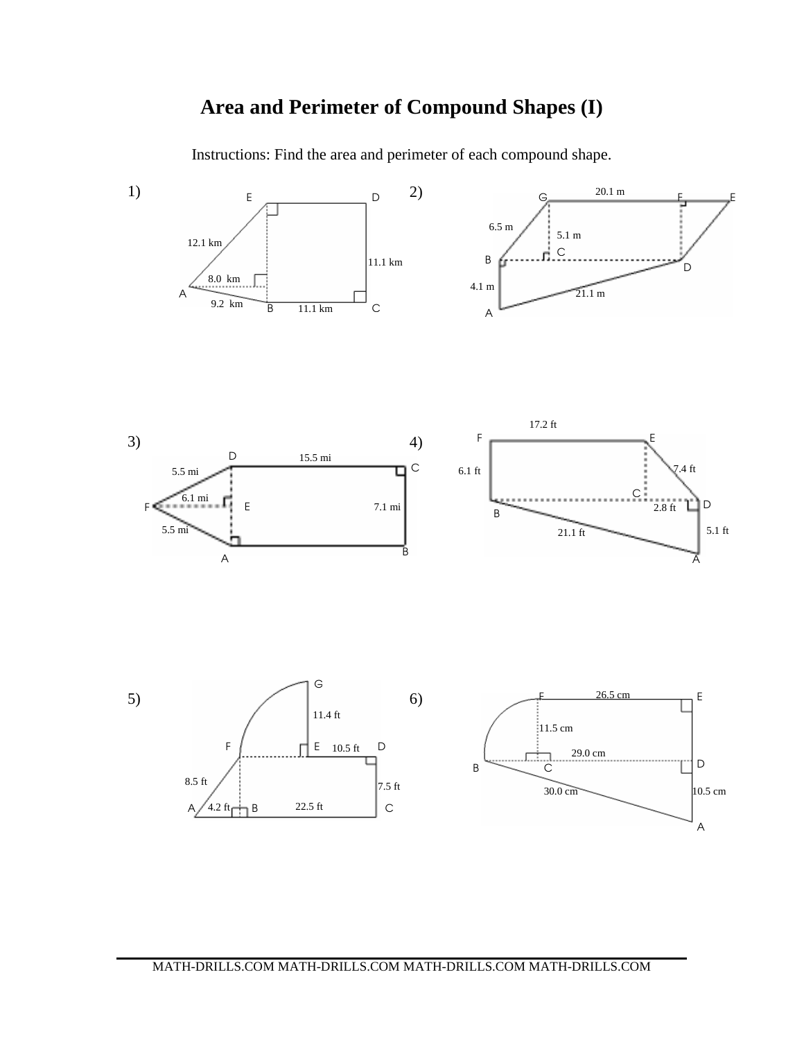## **Area and Perimeter of Compound Shapes (I)**

Instructions: Find the area and perimeter of each compound shape.



A

 $A / 4.2$  ft  $B$  22.5 ft  $C$